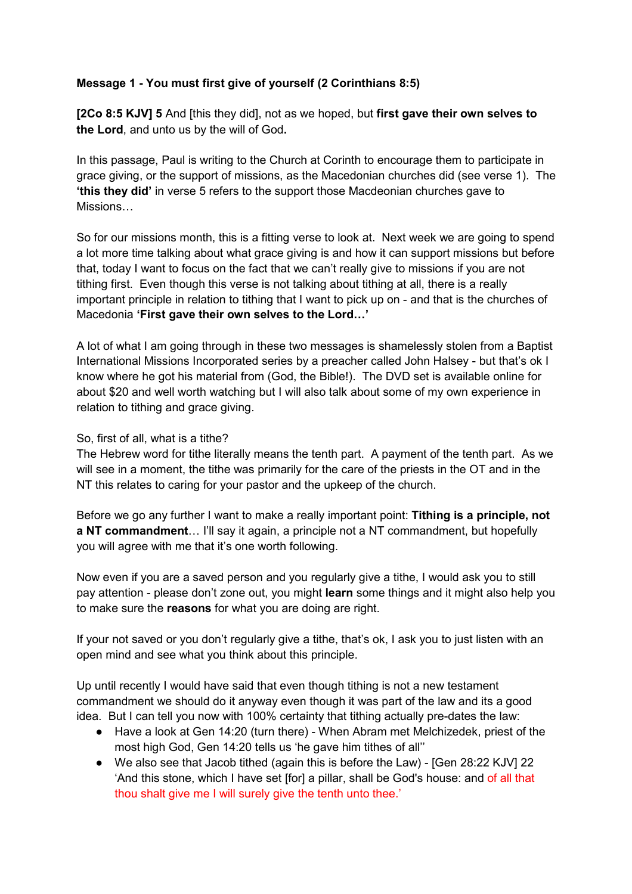# **Message 1 - You must first give of yourself (2 Corinthians 8:5)**

**[2Co 8:5 KJV] 5** And [this they did], not as we hoped, but **first gave their own selves to the Lord**, and unto us by the will of God**.** 

In this passage, Paul is writing to the Church at Corinth to encourage them to participate in grace giving, or the support of missions, as the Macedonian churches did (see verse 1). The **'this they did'** in verse 5 refers to the support those Macdeonian churches gave to Missions…

So for our missions month, this is a fitting verse to look at. Next week we are going to spend a lot more time talking about what grace giving is and how it can support missions but before that, today I want to focus on the fact that we can't really give to missions if you are not tithing first. Even though this verse is not talking about tithing at all, there is a really important principle in relation to tithing that I want to pick up on - and that is the churches of Macedonia **'First gave their own selves to the Lord…'** 

A lot of what I am going through in these two messages is shamelessly stolen from a Baptist International Missions Incorporated series by a preacher called John Halsey - but that's ok I know where he got his material from (God, the Bible!). The DVD set is available online for about \$20 and well worth watching but I will also talk about some of my own experience in relation to tithing and grace giving.

## So, first of all, what is a tithe?

The Hebrew word for tithe literally means the tenth part. A payment of the tenth part. As we will see in a moment, the tithe was primarily for the care of the priests in the OT and in the NT this relates to caring for your pastor and the upkeep of the church.

Before we go any further I want to make a really important point: **Tithing is a principle, not a NT commandment**… I'll say it again, a principle not a NT commandment, but hopefully you will agree with me that it's one worth following.

Now even if you are a saved person and you regularly give a tithe, I would ask you to still pay attention - please don't zone out, you might **learn** some things and it might also help you to make sure the **reasons** for what you are doing are right.

If your not saved or you don't regularly give a tithe, that's ok, I ask you to just listen with an open mind and see what you think about this principle.

Up until recently I would have said that even though tithing is not a new testament commandment we should do it anyway even though it was part of the law and its a good idea. But I can tell you now with 100% certainty that tithing actually pre-dates the law:

- Have a look at Gen 14:20 (turn there) When Abram met Melchizedek, priest of the most high God, Gen 14:20 tells us 'he gave him tithes of all''
- We also see that Jacob tithed (again this is before the Law) [Gen 28:22 KJV] 22 'And this stone, which I have set [for] a pillar, shall be God's house: and of all that thou shalt give me I will surely give the tenth unto thee.'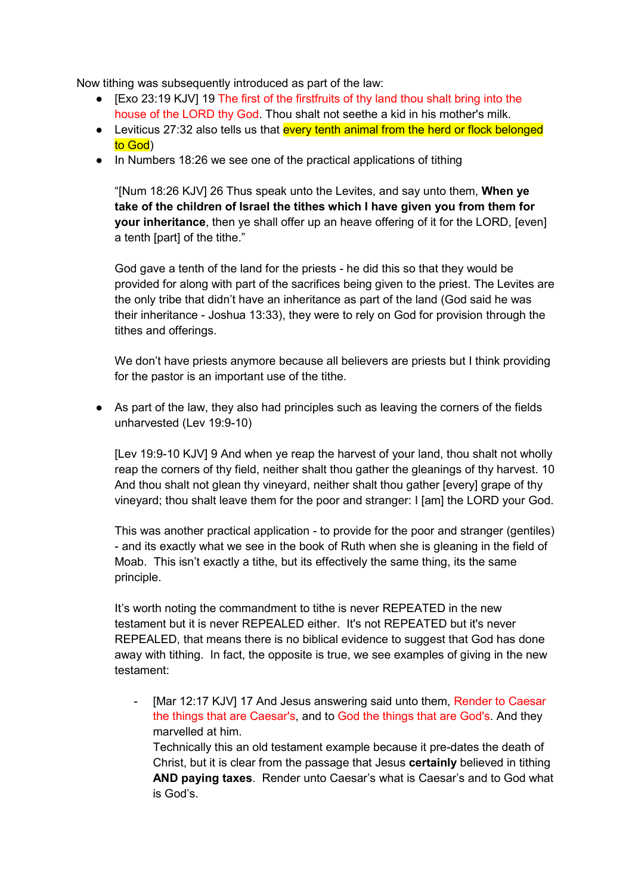Now tithing was subsequently introduced as part of the law:

- [Exo 23:19 KJV] 19 The first of the firstfruits of thy land thou shalt bring into the house of the LORD thy God. Thou shalt not seethe a kid in his mother's milk.
- Leviticus 27:32 also tells us that every tenth animal from the herd or flock belonged to God)
- In Numbers 18:26 we see one of the practical applications of tithing

"[Num 18:26 KJV] 26 Thus speak unto the Levites, and say unto them, **When ye take of the children of Israel the tithes which I have given you from them for your inheritance**, then ye shall offer up an heave offering of it for the LORD, [even] a tenth [part] of the tithe."

God gave a tenth of the land for the priests - he did this so that they would be provided for along with part of the sacrifices being given to the priest. The Levites are the only tribe that didn't have an inheritance as part of the land (God said he was their inheritance - Joshua 13:33), they were to rely on God for provision through the tithes and offerings.

We don't have priests anymore because all believers are priests but I think providing for the pastor is an important use of the tithe.

• As part of the law, they also had principles such as leaving the corners of the fields unharvested (Lev 19:9-10)

[Lev 19:9-10 KJV] 9 And when ye reap the harvest of your land, thou shalt not wholly reap the corners of thy field, neither shalt thou gather the gleanings of thy harvest. 10 And thou shalt not glean thy vineyard, neither shalt thou gather [every] grape of thy vineyard; thou shalt leave them for the poor and stranger: I [am] the LORD your God.

This was another practical application - to provide for the poor and stranger (gentiles) - and its exactly what we see in the book of Ruth when she is gleaning in the field of Moab. This isn't exactly a tithe, but its effectively the same thing, its the same principle.

It's worth noting the commandment to tithe is never REPEATED in the new testament but it is never REPEALED either. It's not REPEATED but it's never REPEALED, that means there is no biblical evidence to suggest that God has done away with tithing. In fact, the opposite is true, we see examples of giving in the new testament:

[Mar 12:17 KJV] 17 And Jesus answering said unto them, Render to Caesar the things that are Caesar's, and to God the things that are God's. And they marvelled at him.

Technically this an old testament example because it pre-dates the death of Christ, but it is clear from the passage that Jesus **certainly** believed in tithing **AND paying taxes**. Render unto Caesar's what is Caesar's and to God what is God's.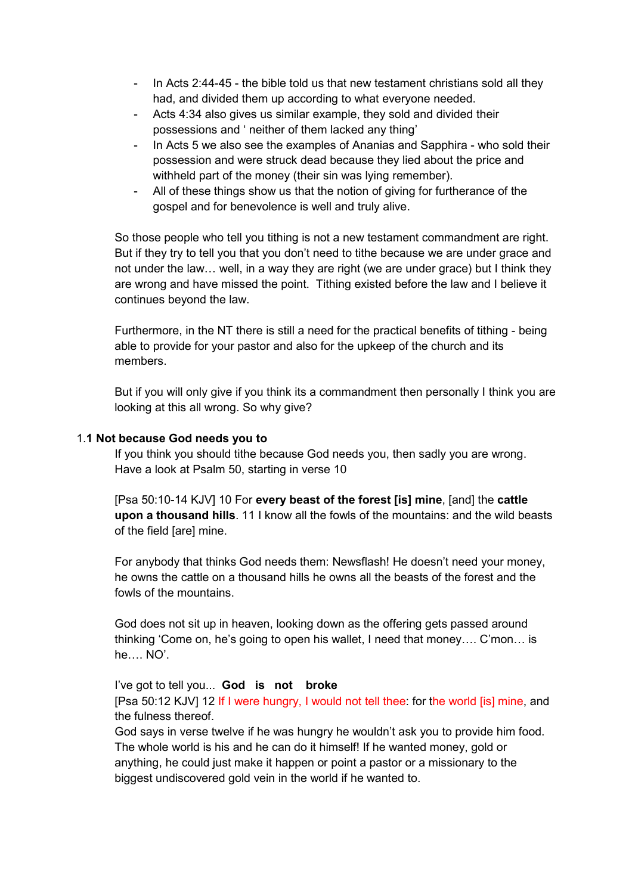- In Acts 2:44-45 the bible told us that new testament christians sold all they had, and divided them up according to what everyone needed.
- Acts 4:34 also gives us similar example, they sold and divided their possessions and ' neither of them lacked any thing'
- In Acts 5 we also see the examples of Ananias and Sapphira who sold their possession and were struck dead because they lied about the price and withheld part of the money (their sin was lying remember).
- All of these things show us that the notion of giving for furtherance of the gospel and for benevolence is well and truly alive.

So those people who tell you tithing is not a new testament commandment are right. But if they try to tell you that you don't need to tithe because we are under grace and not under the law… well, in a way they are right (we are under grace) but I think they are wrong and have missed the point. Tithing existed before the law and I believe it continues beyond the law.

Furthermore, in the NT there is still a need for the practical benefits of tithing - being able to provide for your pastor and also for the upkeep of the church and its members.

But if you will only give if you think its a commandment then personally I think you are looking at this all wrong. So why give?

### 1.**1 Not because God needs you to**

 If you think you should tithe because God needs you, then sadly you are wrong. Have a look at Psalm 50, starting in verse 10

[Psa 50:10-14 KJV] 10 For **every beast of the forest [is] mine**, [and] the **cattle upon a thousand hills**. 11 I know all the fowls of the mountains: and the wild beasts of the field [are] mine.

For anybody that thinks God needs them: Newsflash! He doesn't need your money, he owns the cattle on a thousand hills he owns all the beasts of the forest and the fowls of the mountains.

God does not sit up in heaven, looking down as the offering gets passed around thinking 'Come on, he's going to open his wallet, I need that money…. C'mon… is he…. NO'.

I've got to tell you... **God is not broke** 

[Psa 50:12 KJV] 12 If I were hungry, I would not tell thee: for the world [is] mine, and the fulness thereof.

God says in verse twelve if he was hungry he wouldn't ask you to provide him food. The whole world is his and he can do it himself! If he wanted money, gold or anything, he could just make it happen or point a pastor or a missionary to the biggest undiscovered gold vein in the world if he wanted to.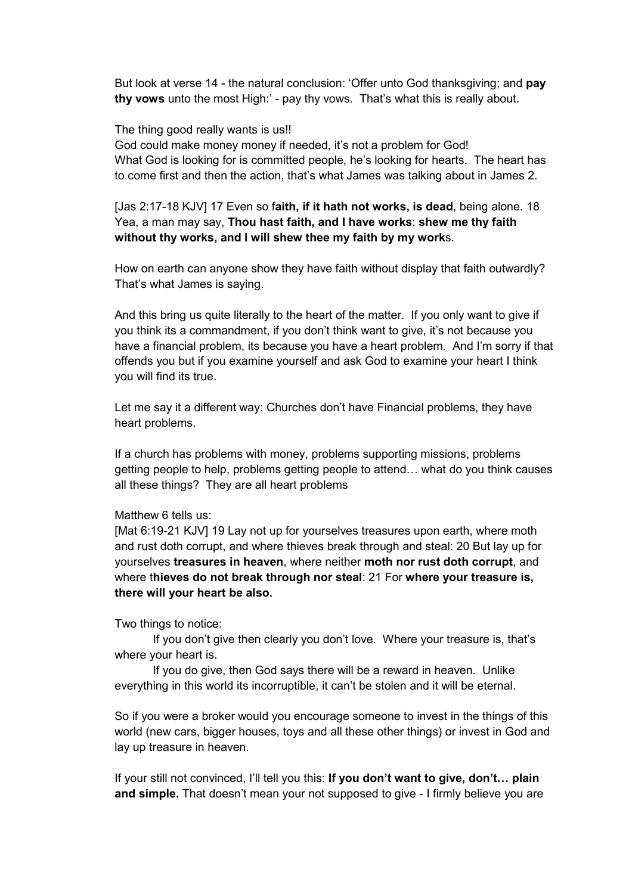But look at verse 14 - the natural conclusion: 'Offer unto God thanksgiving; and **pay thy vows** unto the most High:' - pay thy vows. That's what this is really about.

#### The thing good really wants is us!!

God could make money money if needed, it's not a problem for God! What God is looking for is committed people, he's looking for hearts. The heart has to come first and then the action, that's what James was talking about in James 2.

[Jas 2:17-18 KJV] 17 Even so f**aith, if it hath not works, is dead**, being alone. 18 Yea, a man may say, **Thou hast faith, and I have works**: **shew me thy faith without thy works, and I will shew thee my faith by my work**s.

How on earth can anyone show they have faith without display that faith outwardly? That's what James is saying.

And this bring us quite literally to the heart of the matter. If you only want to give if you think its a commandment, if you don't think want to give, it's not because you have a financial problem, its because you have a heart problem. And I'm sorry if that offends you but if you examine yourself and ask God to examine your heart I think you will find its true.

Let me say it a different way: Churches don't have Financial problems, they have heart problems.

If a church has problems with money, problems supporting missions, problems getting people to help, problems getting people to attend… what do you think causes all these things? They are all heart problems

#### Matthew 6 tells us:

[Mat 6:19-21 KJV] 19 Lay not up for yourselves treasures upon earth, where moth and rust doth corrupt, and where thieves break through and steal: 20 But lay up for yourselves **treasures in heaven**, where neither **moth nor rust doth corrupt**, and where t**hieves do not break through nor steal**: 21 For **where your treasure is, there will your heart be also.** 

Two things to notice:

 If you don't give then clearly you don't love. Where your treasure is, that's where your heart is.

 If you do give, then God says there will be a reward in heaven. Unlike everything in this world its incorruptible, it can't be stolen and it will be eternal.

So if you were a broker would you encourage someone to invest in the things of this world (new cars, bigger houses, toys and all these other things) or invest in God and lay up treasure in heaven.

If your still not convinced, I'll tell you this: **If you don't want to give, don't… plain and simple.** That doesn't mean your not supposed to give - I firmly believe you are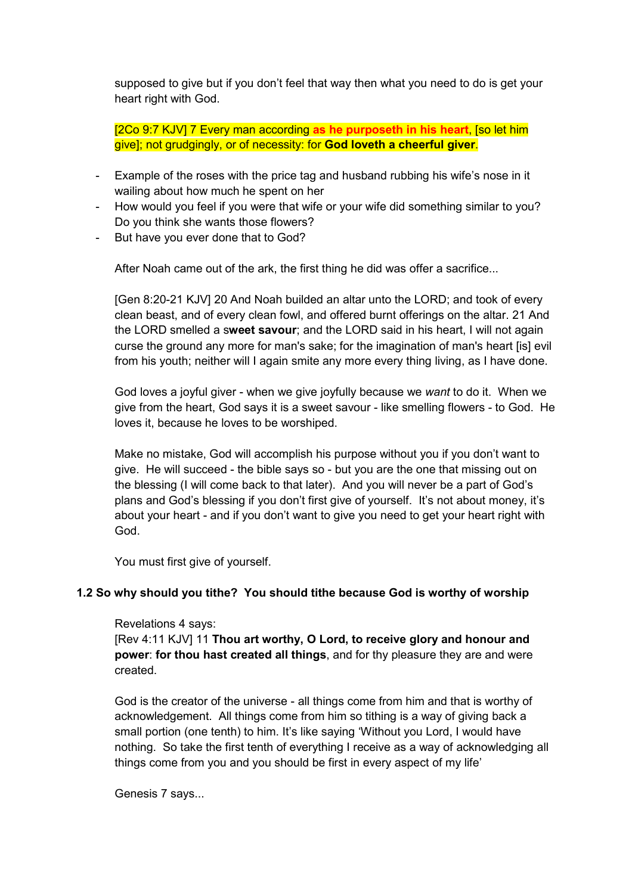supposed to give but if you don't feel that way then what you need to do is get your heart right with God.

[2Co 9:7 KJV] 7 Every man according **as he purposeth in his heart**, [so let him give]; not grudgingly, or of necessity: for **God loveth a cheerful giver**.

- Example of the roses with the price tag and husband rubbing his wife's nose in it wailing about how much he spent on her
- How would you feel if you were that wife or your wife did something similar to you? Do you think she wants those flowers?
- But have you ever done that to God?

After Noah came out of the ark, the first thing he did was offer a sacrifice...

[Gen 8:20-21 KJV] 20 And Noah builded an altar unto the LORD; and took of every clean beast, and of every clean fowl, and offered burnt offerings on the altar. 21 And the LORD smelled a s**weet savour**; and the LORD said in his heart, I will not again curse the ground any more for man's sake; for the imagination of man's heart [is] evil from his youth; neither will I again smite any more every thing living, as I have done.

God loves a joyful giver - when we give joyfully because we *want* to do it. When we give from the heart, God says it is a sweet savour - like smelling flowers - to God. He loves it, because he loves to be worshiped.

Make no mistake, God will accomplish his purpose without you if you don't want to give. He will succeed - the bible says so - but you are the one that missing out on the blessing (I will come back to that later). And you will never be a part of God's plans and God's blessing if you don't first give of yourself. It's not about money, it's about your heart - and if you don't want to give you need to get your heart right with God.

You must first give of yourself.

### **1.2 So why should you tithe? You should tithe because God is worthy of worship**

### Revelations 4 says:

[Rev 4:11 KJV] 11 **Thou art worthy, O Lord, to receive glory and honour and power**: **for thou hast created all things**, and for thy pleasure they are and were created.

God is the creator of the universe - all things come from him and that is worthy of acknowledgement. All things come from him so tithing is a way of giving back a small portion (one tenth) to him. It's like saying 'Without you Lord, I would have nothing. So take the first tenth of everything I receive as a way of acknowledging all things come from you and you should be first in every aspect of my life'

Genesis 7 says...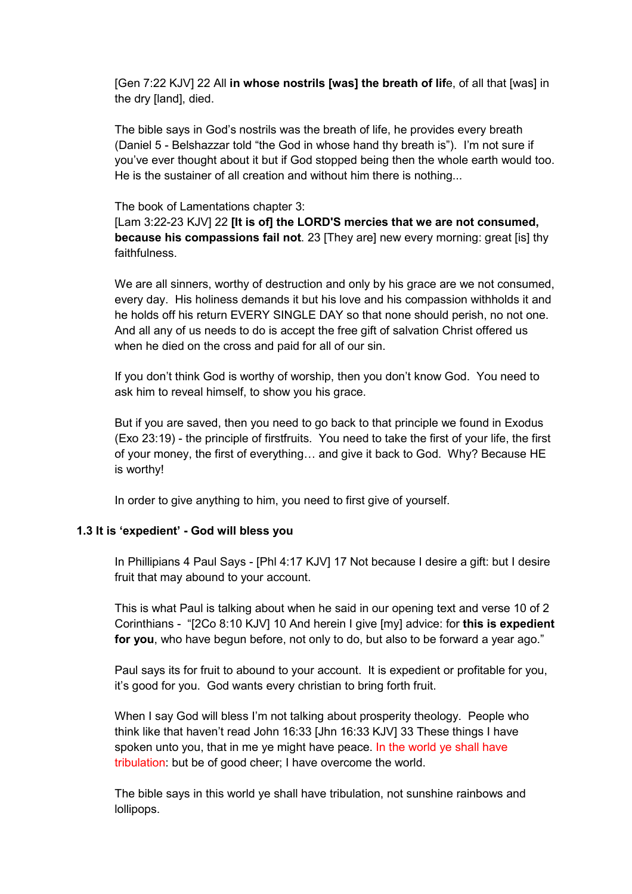[Gen 7:22 KJV] 22 All **in whose nostrils [was] the breath of lif**e, of all that [was] in the dry [land], died.

The bible says in God's nostrils was the breath of life, he provides every breath (Daniel 5 - Belshazzar told "the God in whose hand thy breath is"). I'm not sure if you've ever thought about it but if God stopped being then the whole earth would too. He is the sustainer of all creation and without him there is nothing...

#### The book of Lamentations chapter 3:

[Lam 3:22-23 KJV] 22 **[It is of] the LORD'S mercies that we are not consumed, because his compassions fail not**. 23 [They are] new every morning: great [is] thy faithfulness.

We are all sinners, worthy of destruction and only by his grace are we not consumed, every day. His holiness demands it but his love and his compassion withholds it and he holds off his return EVERY SINGLE DAY so that none should perish, no not one. And all any of us needs to do is accept the free gift of salvation Christ offered us when he died on the cross and paid for all of our sin.

If you don't think God is worthy of worship, then you don't know God. You need to ask him to reveal himself, to show you his grace.

But if you are saved, then you need to go back to that principle we found in Exodus (Exo 23:19) - the principle of firstfruits. You need to take the first of your life, the first of your money, the first of everything… and give it back to God. Why? Because HE is worthy!

In order to give anything to him, you need to first give of yourself.

### **1.3 It is 'expedient' - God will bless you**

In Phillipians 4 Paul Says - [Phl 4:17 KJV] 17 Not because I desire a gift: but I desire fruit that may abound to your account.

This is what Paul is talking about when he said in our opening text and verse 10 of 2 Corinthians - "[2Co 8:10 KJV] 10 And herein I give [my] advice: for **this is expedient for you**, who have begun before, not only to do, but also to be forward a year ago."

Paul says its for fruit to abound to your account. It is expedient or profitable for you, it's good for you. God wants every christian to bring forth fruit.

When I say God will bless I'm not talking about prosperity theology. People who think like that haven't read John 16:33 [Jhn 16:33 KJV] 33 These things I have spoken unto you, that in me ye might have peace. In the world ye shall have tribulation: but be of good cheer; I have overcome the world.

The bible says in this world ye shall have tribulation, not sunshine rainbows and lollipops.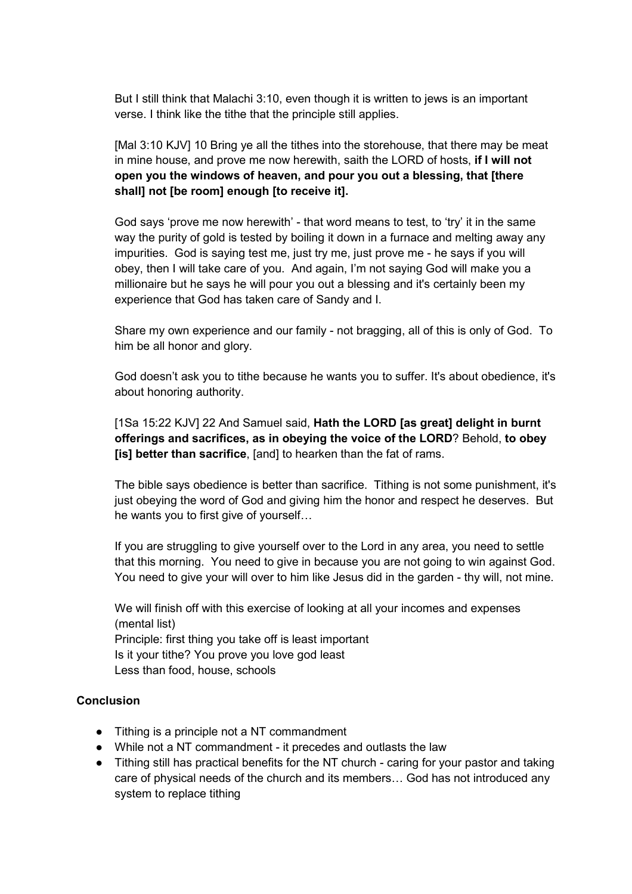But I still think that Malachi 3:10, even though it is written to jews is an important verse. I think like the tithe that the principle still applies.

[Mal 3:10 KJV] 10 Bring ye all the tithes into the storehouse, that there may be meat in mine house, and prove me now herewith, saith the LORD of hosts, **if I will not open you the windows of heaven, and pour you out a blessing, that [there shall] not [be room] enough [to receive it].** 

God says 'prove me now herewith' - that word means to test, to 'try' it in the same way the purity of gold is tested by boiling it down in a furnace and melting away any impurities. God is saying test me, just try me, just prove me - he says if you will obey, then I will take care of you. And again, I'm not saying God will make you a millionaire but he says he will pour you out a blessing and it's certainly been my experience that God has taken care of Sandy and I.

Share my own experience and our family - not bragging, all of this is only of God. To him be all honor and glory.

God doesn't ask you to tithe because he wants you to suffer. It's about obedience, it's about honoring authority.

[1Sa 15:22 KJV] 22 And Samuel said, **Hath the LORD [as great] delight in burnt offerings and sacrifices, as in obeying the voice of the LORD**? Behold, **to obey [is] better than sacrifice**, [and] to hearken than the fat of rams.

The bible says obedience is better than sacrifice. Tithing is not some punishment, it's just obeying the word of God and giving him the honor and respect he deserves. But he wants you to first give of yourself…

If you are struggling to give yourself over to the Lord in any area, you need to settle that this morning. You need to give in because you are not going to win against God. You need to give your will over to him like Jesus did in the garden - thy will, not mine.

We will finish off with this exercise of looking at all your incomes and expenses (mental list) Principle: first thing you take off is least important Is it your tithe? You prove you love god least Less than food, house, schools

### **Conclusion**

- Tithing is a principle not a NT commandment
- While not a NT commandment it precedes and outlasts the law
- Tithing still has practical benefits for the NT church caring for your pastor and taking care of physical needs of the church and its members… God has not introduced any system to replace tithing